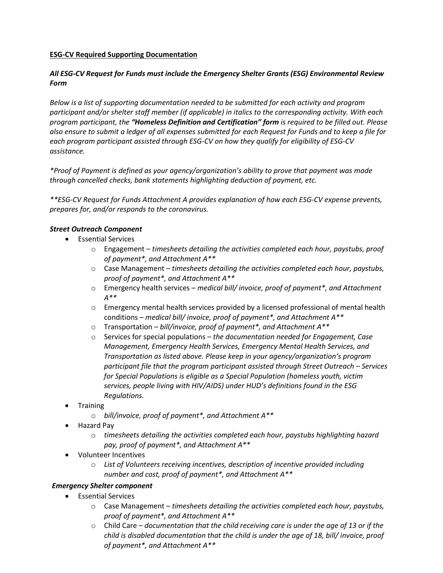## **ESG-CV Required Supporting Documentation**

# *All ESG-CV Request for Funds must include the Emergency Shelter Grants (ESG) Environmental Review Form*

*Below is a list of supporting documentation needed to be submitted for each activity and program participant and/or shelter staff member (if applicable) in italics to the corresponding activity. With each program participant, the "Homeless Definition and Certification" form is required to be filled out. Please also ensure to submit a ledger of all expenses submitted for each Request for Funds and to keep a file for each program participant assisted through ESG-CV on how they qualify for eligibility of ESG-CV assistance.* 

*\*Proof of Payment is defined as your agency/organization's ability to prove that payment was made through cancelled checks, bank statements highlighting deduction of payment, etc.*

*\*\*ESG-CV Request for Funds Attachment A provides explanation of how each ESG-CV expense prevents, prepares for, and/or responds to the coronavirus.* 

#### *Street Outreach Component*

- Essential Services
	- o Engagement *timesheets detailing the activities completed each hour, paystubs, proof of payment\*, and Attachment A\*\**
	- o Case Management *– timesheets detailing the activities completed each hour, paystubs, proof of payment\*, and Attachment A\*\**
	- o Emergency health services *medical bill/ invoice, proof of payment\*, and Attachment A\*\**
	- $\circ$  Emergency mental health services provided by a licensed professional of mental health conditions – *medical bill/ invoice, proof of payment\*, and Attachment A\*\**
	- o Transportation *– bill/invoice, proof of payment\*, and Attachment A\*\**
	- o Services for special populations *the documentation needed for Engagement, Case Management, Emergency Health Services, Emergency Mental Health Services, and Transportation as listed above. Please keep in your agency/organization's program participant file that the program participant assisted through Street Outreach – Services for Special Populations is eligible as a Special Population (homeless youth, victim services, people living with HIV/AIDS) under HUD's definitions found in the ESG Regulations.*
- **Training** 
	- o *bill/invoice, proof of payment\*, and Attachment A\*\**
- Hazard Pay
	- o *timesheets detailing the activities completed each hour, paystubs highlighting hazard pay, proof of payment\*, and Attachment A\*\**
- Volunteer Incentives
	- o *List of Volunteers receiving incentives, description of incentive provided including number and cost, proof of payment\*, and Attachment A\*\**

#### *Emergency Shelter component*

- Essential Services
	- o Case Management *timesheets detailing the activities completed each hour, paystubs, proof of payment\*, and Attachment A\*\**
	- o Child Care *documentation that the child receiving care is under the age of 13 or if the child is disabled documentation that the child is under the age of 18, bill/ invoice, proof of payment\*, and Attachment A\*\**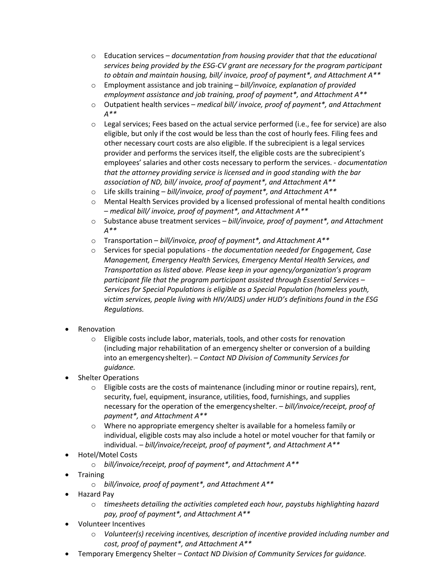- o Education services *documentation from housing provider that that the educational services being provided by the ESG-CV grant are necessary for the program participant to obtain and maintain housing, bill/ invoice, proof of payment\*, and Attachment A\*\**
- o Employment assistance and job training *bill/invoice, explanation of provided employment assistance and job training, proof of payment\*, and Attachment A\*\**
- o Outpatient health services *medical bill/ invoice, proof of payment\*, and Attachment A\*\**
- $\circ$  Legal services; Fees based on the actual service performed (i.e., fee for service) are also eligible, but only if the cost would be less than the cost of hourly fees. Filing fees and other necessary court costs are also eligible. If the subrecipient is a legal services provider and performs the services itself, the eligible costs are the subrecipient's employees' salaries and other costs necessary to perform the services. - *documentation that the attorney providing service is licensed and in good standing with the bar association of ND, bill/ invoice, proof of payment\*, and Attachment A\*\**
- o Life skills training *bill/invoice, proof of payment\*, and Attachment A\*\**
- o Mental Health Services provided by a licensed professional of mental health conditions – *medical bill/ invoice, proof of payment\*, and Attachment A\*\**
- o Substance abuse treatment services *bill/invoice, proof of payment\*, and Attachment A\*\**
- o Transportation *bill/invoice, proof of payment\*, and Attachment A\*\**
- o Services for special populations *the documentation needed for Engagement, Case Management, Emergency Health Services, Emergency Mental Health Services, and Transportation as listed above. Please keep in your agency/organization's program participant file that the program participant assisted through Essential Services – Services for Special Populations is eligible as a Special Population (homeless youth, victim services, people living with HIV/AIDS) under HUD's definitions found in the ESG Regulations.*
- **Renovation** 
	- o Eligible costs include labor, materials, tools, and other costs for renovation (including major rehabilitation of an emergency shelter or conversion of a building into an emergencyshelter). – *Contact ND Division of Community Services for guidance.*
- Shelter Operations
	- $\circ$  Eligible costs are the costs of maintenance (including minor or routine repairs), rent, security, fuel, equipment, insurance, utilities, food, furnishings, and supplies necessary for the operation of the emergencyshelter. – *bill/invoice/receipt, proof of payment\*, and Attachment A\*\**
	- o Where no appropriate emergency shelter is available for a homeless family or individual, eligible costs may also include a hotel or motel voucher for that family or individual. – *bill/invoice/receipt, proof of payment\*, and Attachment A\*\**
- Hotel/Motel Costs
	- o *bill/invoice/receipt, proof of payment\*, and Attachment A\*\**
- Training
	- o *bill/invoice, proof of payment\*, and Attachment A\*\**
- Hazard Pay
	- o *timesheets detailing the activities completed each hour, paystubs highlighting hazard pay, proof of payment\*, and Attachment A\*\**
- Volunteer Incentives
	- o *Volunteer(s) receiving incentives, description of incentive provided including number and cost, proof of payment\*, and Attachment A\*\**
- Temporary Emergency Shelter *Contact ND Division of Community Services for guidance.*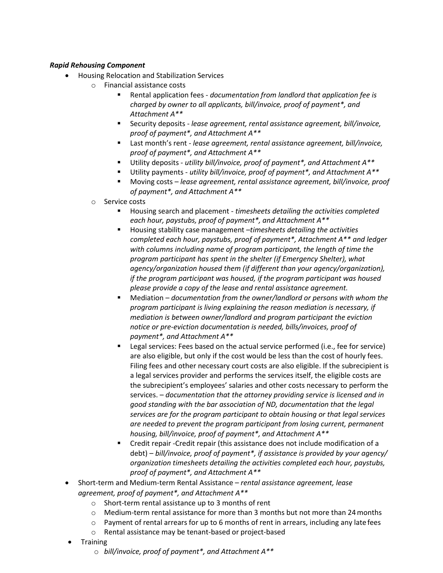## *Rapid Rehousing Component*

- Housing Relocation and Stabilization Services
	- o Financial assistance costs
		- Rental application fees *- documentation from landlord that application fee is charged by owner to all applicants, bill/invoice, proof of payment\*, and Attachment A\*\**
		- Security deposits *lease agreement, rental assistance agreement, bill/invoice, proof of payment\*, and Attachment A\*\**
		- Last month's rent *lease agreement, rental assistance agreement, bill/invoice, proof of payment\*, and Attachment A\*\**
		- Utility deposits *utility bill/invoice, proof of payment\*, and Attachment A\*\**
		- Utility payments *utility bill/invoice, proof of payment\*, and Attachment A\*\**
		- Moving costs *lease agreement, rental assistance agreement, bill/invoice, proof of payment\*, and Attachment A\*\**
	- o Service costs
		- Housing search and placement *timesheets detailing the activities completed each hour, paystubs, proof of payment\*, and Attachment A\*\**
		- Housing stability case management –*timesheets detailing the activities completed each hour, paystubs, proof of payment\*, Attachment A\*\* and ledger with columns including name of program participant, the length of time the program participant has spent in the shelter (if Emergency Shelter), what agency/organization housed them (if different than your agency/organization), if the program participant was housed, if the program participant was housed please provide a copy of the lease and rental assistance agreement.*
		- Mediation *documentation from the owner/landlord or persons with whom the program participant is living explaining the reason mediation is necessary, if mediation is between owner/landlord and program participant the eviction notice or pre-eviction documentation is needed, bills/invoices, proof of payment\*, and Attachment A\*\**
		- **EXECT** Legal services: Fees based on the actual service performed (i.e., fee for service) are also eligible, but only if the cost would be less than the cost of hourly fees. Filing fees and other necessary court costs are also eligible. If the subrecipient is a legal services provider and performs the services itself, the eligible costs are the subrecipient's employees' salaries and other costs necessary to perform the services. – *documentation that the attorney providing service is licensed and in good standing with the bar association of ND, documentation that the legal services are for the program participant to obtain housing or that legal services are needed to prevent the program participant from losing current, permanent housing, bill/invoice, proof of payment\*, and Attachment A\*\**
		- Credit repair -Credit repair (this assistance does not include modification of a debt) – *bill/invoice, proof of payment\*, if assistance is provided by your agency/ organization timesheets detailing the activities completed each hour, paystubs, proof of payment\*, and Attachment A\*\**
- Short-term and Medium-term Rental Assistance *rental assistance agreement, lease agreement, proof of payment\*, and Attachment A\*\**
	- o Short-term rental assistance up to 3 months of rent
	- $\circ$  Medium-term rental assistance for more than 3 months but not more than 24 months
	- $\circ$  Payment of rental arrears for up to 6 months of rent in arrears, including any late fees
	- o Rental assistance may be tenant-based or project-based
- **Training** 
	- o *bill/invoice, proof of payment\*, and Attachment A\*\**